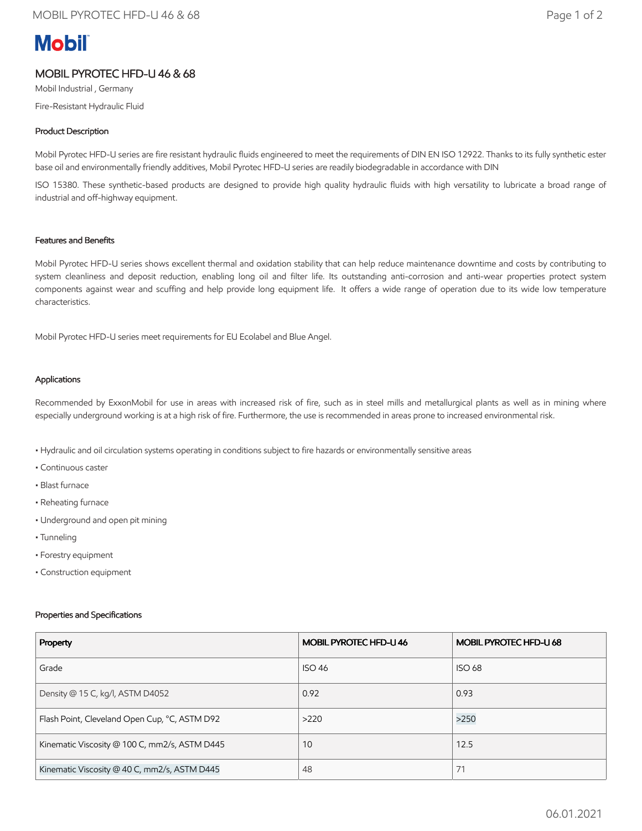# **Mobil**

# MOBIL PYROTEC HFD-U 46 & 68

Mobil Industrial , Germany Fire-Resistant Hydraulic Fluid

## Product Description

Mobil Pyrotec HFD-U series are fire resistant hydraulic fluids engineered to meet the requirements of DIN EN ISO 12922. Thanks to its fully synthetic ester base oil and environmentally friendly additives, Mobil Pyrotec HFD-U series are readily biodegradable in accordance with DIN

ISO 15380. These synthetic-based products are designed to provide high quality hydraulic fluids with high versatility to lubricate a broad range of industrial and off-highway equipment.

#### Features and Benefits

Mobil Pyrotec HFD-U series shows excellent thermal and oxidation stability that can help reduce maintenance downtime and costs by contributing to system cleanliness and deposit reduction, enabling long oil and filter life. Its outstanding anti-corrosion and anti-wear properties protect system components against wear and scuffing and help provide long equipment life. It offers a wide range of operation due to its wide low temperature characteristics.

Mobil Pyrotec HFD-U series meet requirements for EU Ecolabel and Blue Angel.

#### Applications

Recommended by ExxonMobil for use in areas with increased risk of fire, such as in steel mills and metallurgical plants as well as in mining where especially underground working is at a high risk of fire. Furthermore, the use is recommended in areas prone to increased environmental risk.

- Hydraulic and oil circulation systems operating in conditions subject to fire hazards or environmentally sensitive areas
- Continuous caster
- Blast furnace
- Reheating furnace
- Underground and open pit mining
- Tunneling
- Forestry equipment
- Construction equipment

#### Properties and Specifications

| Property                                      | <b>MOBIL PYROTEC HFD-U 46</b> | MOBIL PYROTEC HFD-U 68 |
|-----------------------------------------------|-------------------------------|------------------------|
| Grade                                         | <b>ISO 46</b>                 | <b>ISO 68</b>          |
| Density @ 15 C, kg/l, ASTM D4052              | 0.92                          | 0.93                   |
| Flash Point, Cleveland Open Cup, °C, ASTM D92 | >220                          | >250                   |
| Kinematic Viscosity @ 100 C, mm2/s, ASTM D445 | 10                            | 12.5                   |
| Kinematic Viscosity @ 40 C, mm2/s, ASTM D445  | 48                            | 71                     |